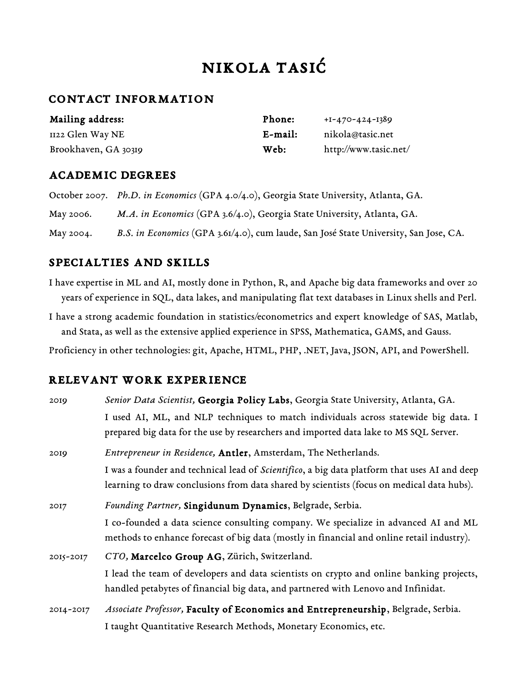# Nikola Tasić

#### Contact Information

| Mailing address:     | Phone:     | $+I-470-424-1389$     |
|----------------------|------------|-----------------------|
| 1122 Glen Way NE     | $E$ -mail: | nikola@tasic.net      |
| Brookhaven, GA 30319 | Web:       | http://www.tasic.net/ |

#### Academic Degrees

|           | October 2007. Ph.D. in Economics (GPA 4.0/4.0), Georgia State University, Atlanta, GA. |
|-----------|----------------------------------------------------------------------------------------|
| May 2006. | M.A. in Economics (GPA 3.6/4.0), Georgia State University, Atlanta, GA.                |
| May 2004. | B.S. in Economics (GPA 3.61/4.0), cum laude, San José State University, San Jose, CA.  |

### Specialties and Skills

I have expertise in ML and AI, mostly done in Python, R, and Apache big data frameworks and over 20 years of experience in SQL, data lakes, and manipulating flat text databases in Linux shells and Perl.

I have a strong academic foundation in statistics/econometrics and expert knowledge of SAS, Matlab, and Stata, as well as the extensive applied experience in SPSS, Mathematica, GAMS, and Gauss.

Proficiency in other technologies: git, Apache, HTML, PHP, .NET, Java, JSON, API, and PowerShell.

#### Relevant Work Experience

| 2019      | Senior Data Scientist, Georgia Policy Labs, Georgia State University, Atlanta, GA.                                                                                                        |
|-----------|-------------------------------------------------------------------------------------------------------------------------------------------------------------------------------------------|
|           | I used AI, ML, and NLP techniques to match individuals across statewide big data. I<br>prepared big data for the use by researchers and imported data lake to MS SQL Server.              |
| 2019      | Entrepreneur in Residence, Antler, Amsterdam, The Netherlands.                                                                                                                            |
|           | I was a founder and technical lead of Scientifico, a big data platform that uses AI and deep<br>learning to draw conclusions from data shared by scientists (focus on medical data hubs). |
| 2017      | Founding Partner, Singidunum Dynamics, Belgrade, Serbia.                                                                                                                                  |
|           | I co-founded a data science consulting company. We specialize in advanced AI and ML<br>methods to enhance forecast of big data (mostly in financial and online retail industry).          |
| 2015-2017 | CTO, Marcelco Group AG, Zürich, Switzerland.                                                                                                                                              |
|           | I lead the team of developers and data scientists on crypto and online banking projects,<br>handled petabytes of financial big data, and partnered with Lenovo and Infinidat.             |
| 2014-2017 | Associate Professor, Faculty of Economics and Entrepreneurship, Belgrade, Serbia.                                                                                                         |
|           | I taught Quantitative Research Methods, Monetary Economics, etc.                                                                                                                          |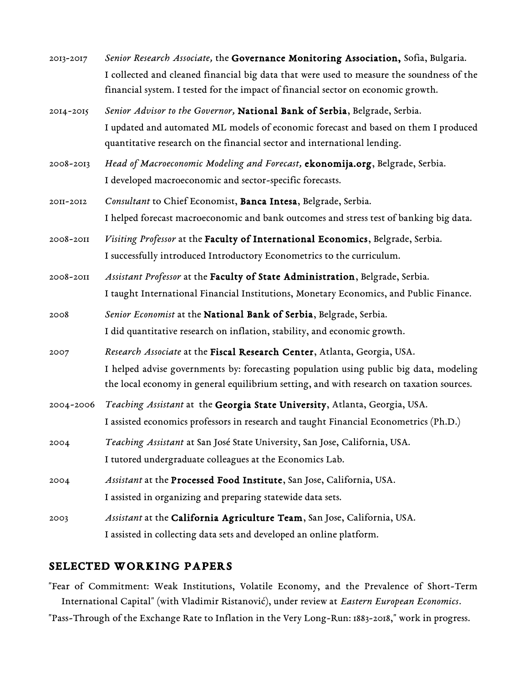| 2013-2017 | Senior Research Associate, the Governance Monitoring Association, Sofia, Bulgaria.        |
|-----------|-------------------------------------------------------------------------------------------|
|           | I collected and cleaned financial big data that were used to measure the soundness of the |
|           | financial system. I tested for the impact of financial sector on economic growth.         |
| 2014-2015 | Senior Advisor to the Governor, National Bank of Serbia, Belgrade, Serbia.                |
|           | I updated and automated ML models of economic forecast and based on them I produced       |
|           | quantitative research on the financial sector and international lending.                  |
| 2008-2013 | Head of Macroeconomic Modeling and Forecast, ekonomija.org, Belgrade, Serbia.             |
|           | I developed macroeconomic and sector-specific forecasts.                                  |
| 20II-20I2 | Consultant to Chief Economist, Banca Intesa, Belgrade, Serbia.                            |
|           | I helped forecast macroeconomic and bank outcomes and stress test of banking big data.    |
| 2008-2011 | Visiting Professor at the Faculty of International Economics, Belgrade, Serbia.           |
|           | I successfully introduced Introductory Econometrics to the curriculum.                    |
| 2008-2011 | Assistant Professor at the Faculty of State Administration, Belgrade, Serbia.             |
|           | I taught International Financial Institutions, Monetary Economics, and Public Finance.    |
| 2008      | Senior Economist at the National Bank of Serbia, Belgrade, Serbia.                        |
|           | I did quantitative research on inflation, stability, and economic growth.                 |
| 2007      | Research Associate at the Fiscal Research Center, Atlanta, Georgia, USA.                  |
|           | I helped advise governments by: forecasting population using public big data, modeling    |
|           | the local economy in general equilibrium setting, and with research on taxation sources.  |
| 2004-2006 | Teaching Assistant at the Georgia State University, Atlanta, Georgia, USA.                |
|           | I assisted economics professors in research and taught Financial Econometrics (Ph.D.)     |
| 2004      | Teaching Assistant at San José State University, San Jose, California, USA.               |
|           | I tutored undergraduate colleagues at the Economics Lab.                                  |
| 2004      | Assistant at the Processed Food Institute, San Jose, California, USA.                     |
|           | I assisted in organizing and preparing statewide data sets.                               |
| 2003      | Assistant at the California Agriculture Team, San Jose, California, USA.                  |
|           | I assisted in collecting data sets and developed an online platform.                      |

#### Selected Working Papers

"Fear of Commitment: Weak Institutions, Volatile Economy, and the Prevalence of Short-Term International Capital" (with Vladimir Ristanović), under review at *Eastern European Economics*. "Pass-Through of the Exchange Rate to Inflation in the Very Long-Run: 1883-2018," work in progress.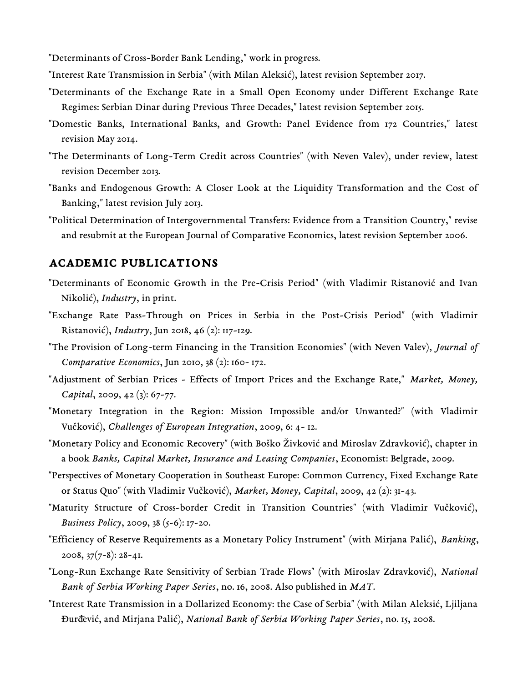"Determinants of Cross-Border Bank Lending," work in progress.

- "Interest Rate Transmission in Serbia" (with Milan Aleksić), latest revision September 2017.
- "Determinants of the Exchange Rate in a Small Open Economy under Different Exchange Rate Regimes: Serbian Dinar during Previous Three Decades," latest revision September 2015.
- "Domestic Banks, International Banks, and Growth: Panel Evidence from 172 Countries," latest revision May 2014.
- "The Determinants of Long-Term Credit across Countries" (with Neven Valev), under review, latest revision December 2013.
- "Banks and Endogenous Growth: A Closer Look at the Liquidity Transformation and the Cost of Banking," latest revision July 2013.
- "Political Determination of Intergovernmental Transfers: Evidence from a Transition Country," revise and resubmit at the European Journal of Comparative Economics, latest revision September 2006.

#### Academic Publications

- "Determinants of Economic Growth in the Pre-Crisis Period" (with Vladimir Ristanović and Ivan Nikolić), *Industry*, in print.
- "Exchange Rate Pass-Through on Prices in Serbia in the Post-Crisis Period" (with Vladimir Ristanović), *Industry*, Jun 2018, 46 (2): 117-129.
- "The Provision of Long-term Financing in the Transition Economies" (with Neven Valev), *Journal of Comparative Economics*, Jun 2010, 38 (2): 160- 172.
- "Adjustment of Serbian Prices Effects of Import Prices and the Exchange Rate," *Market, Money, Capital*, 2009, 42 (3): 67-77.
- "Monetary Integration in the Region: Mission Impossible and/or Unwanted?" (with Vladimir Vučković), *Challenges of European Integration*, 2009, 6: 4- 12.
- "Monetary Policy and Economic Recovery" (with Boško Živković and Miroslav Zdravković), chapter in a book *Banks, Capital Market, Insurance and Leasing Companies*, Economist: Belgrade, 2009.
- "Perspectives of Monetary Cooperation in Southeast Europe: Common Currency, Fixed Exchange Rate or Status Quo" (with Vladimir Vučković), *Market, Money, Capital*, 2009, 42 (2): 31-43.
- "Maturity Structure of Cross-border Credit in Transition Countries" (with Vladimir Vučković), *Business Policy*, 2009, 38 (5-6): 17-20.
- "Efficiency of Reserve Requirements as a Monetary Policy Instrument" (with Mirjana Palić), *Banking*,  $2008$ ,  $37(7-8)$ :  $28-41$ .
- "Long-Run Exchange Rate Sensitivity of Serbian Trade Flows" (with Miroslav Zdravković), *National Bank of Serbia Working Paper Series*, no. 16, 2008. Also published in *MAT*.
- "Interest Rate Transmission in a Dollarized Economy: the Case of Serbia" (with Milan Aleksić, Ljiljana Đurđević, and Mirjana Palić), *National Bank of Serbia Working Paper Series*, no. 15, 2008.